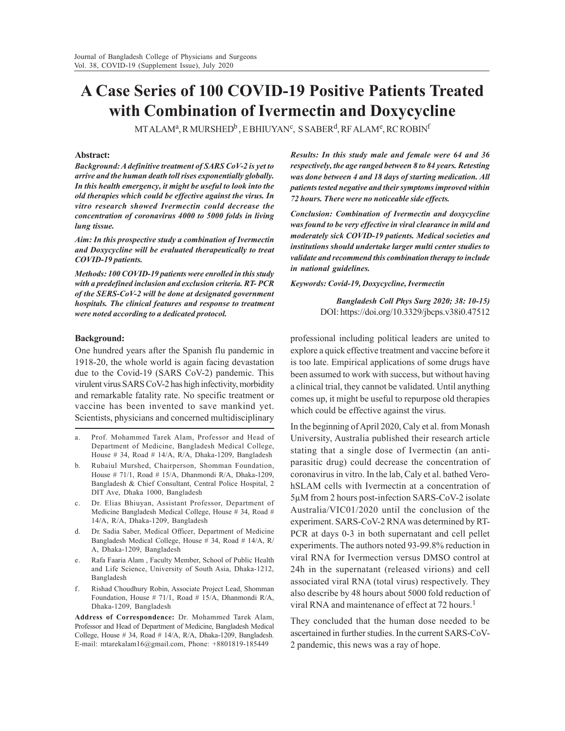# **A Case Series of 100 COVID-19 Positive Patients Treated with Combination of Ivermectin and Doxycycline**

MTALAMª, R MURSHED<sup>b</sup> , E BHIUYAN<sup>c</sup>, S SABER<sup>d</sup>, RF ALAM<sup>e</sup>, RC ROBIN<sup>f</sup>

## **Abstract:**

*Background: A definitive treatment of SARS CoV-2 is yet to arrive and the human death toll rises exponentially globally. In this health emergency, it might be useful to look into the old therapies which could be effective against the virus. In vitro research showed Ivermectin could decrease the concentration of coronavirus 4000 to 5000 folds in living lung tissue.*

*Aim: In this prospective study a combination of Ivermectin and Doxycycline will be evaluated therapeutically to treat COVID-19 patients.*

*Methods: 100 COVID-19 patients were enrolled in this study with a predefined inclusion and exclusion criteria. RT- PCR of the SERS-CoV-2 will be done at designated government hospitals. The clinical features and response to treatment were noted according to a dedicated protocol.*

## **Background:**

One hundred years after the Spanish flu pandemic in 1918-20, the whole world is again facing devastation due to the Covid-19 (SARS CoV-2) pandemic. This virulent virus SARS CoV-2 has high infectivity, morbidity and remarkable fatality rate. No specific treatment or vaccine has been invented to save mankind yet. Scientists, physicians and concerned multidisciplinary

- a. Prof. Mohammed Tarek Alam, Professor and Head of Department of Medicine, Bangladesh Medical College, House # 34, Road # 14/A, R/A, Dhaka-1209, Bangladesh
- b. Rubaiul Murshed, Chairperson, Shomman Foundation, House # 71/1, Road # 15/A, Dhanmondi R/A, Dhaka-1209, Bangladesh & Chief Consultant, Central Police Hospital, 2 DIT Ave, Dhaka 1000, Bangladesh
- c. Dr. Elias Bhiuyan, Assistant Professor, Department of Medicine Bangladesh Medical College, House # 34, Road # 14/A, R/A, Dhaka-1209, Bangladesh
- d. Dr. Sadia Saber, Medical Officer, Department of Medicine Bangladesh Medical College, House # 34, Road # 14/A, R/ A, Dhaka-1209, Bangladesh
- e. Rafa Faaria Alam , Faculty Member, School of Public Health and Life Science, University of South Asia, Dhaka-1212, Bangladesh
- f. Rishad Choudhury Robin, Associate Project Lead, Shomman Foundation, House # 71/1, Road # 15/A, Dhanmondi R/A, Dhaka-1209, Bangladesh

**Address of Correspondence:** Dr. Mohammed Tarek Alam, Professor and Head of Department of Medicine, Bangladesh Medical College, House # 34, Road # 14/A, R/A, Dhaka-1209, Bangladesh. E-mail: mtarekalam16@gmail.com, Phone: +8801819-185449

*Results: In this study male and female were 64 and 36 respectively, the age ranged between 8 to 84 years. Retesting was done between 4 and 18 days of starting medication. All patients tested negative and their symptoms improved within 72 hours. There were no noticeable side effects.*

*Conclusion: Combination of Ivermectin and doxycycline was found to be very effective in viral clearance in mild and moderately sick COVID-19 patients. Medical societies and institutions should undertake larger multi center studies to validate and recommend this combination therapy to include in national guidelines.*

## *Keywords: Covid-19, Doxycycline, Ivermectin*

*Bangladesh Coll Phys Surg 2020; 38: 10-15)* DOI: https://doi.org/10.3329/jbcps.v38i0.47512

professional including political leaders are united to explore a quick effective treatment and vaccine before it is too late. Empirical applications of some drugs have been assumed to work with success, but without having a clinical trial, they cannot be validated. Until anything comes up, it might be useful to repurpose old therapies which could be effective against the virus.

In the beginning of April 2020, Caly et al. from Monash University, Australia published their research article stating that a single dose of Ivermectin (an antiparasitic drug) could decrease the concentration of coronavirus in vitro. In the lab, Caly et al. bathed VerohSLAM cells with Ivermectin at a concentration of 5µM from 2 hours post-infection SARS-CoV-2 isolate Australia/VIC01/2020 until the conclusion of the experiment. SARS-CoV-2 RNA was determined by RT-PCR at days 0-3 in both supernatant and cell pellet experiments. The authors noted 93-99.8% reduction in viral RNA for Ivermection versus DMSO control at 24h in the supernatant (released virions) and cell associated viral RNA (total virus) respectively. They also describe by 48 hours about 5000 fold reduction of viral RNA and maintenance of effect at 72 hours.<sup>1</sup>

They concluded that the human dose needed to be ascertained in further studies. In the current SARS-CoV-2 pandemic, this news was a ray of hope.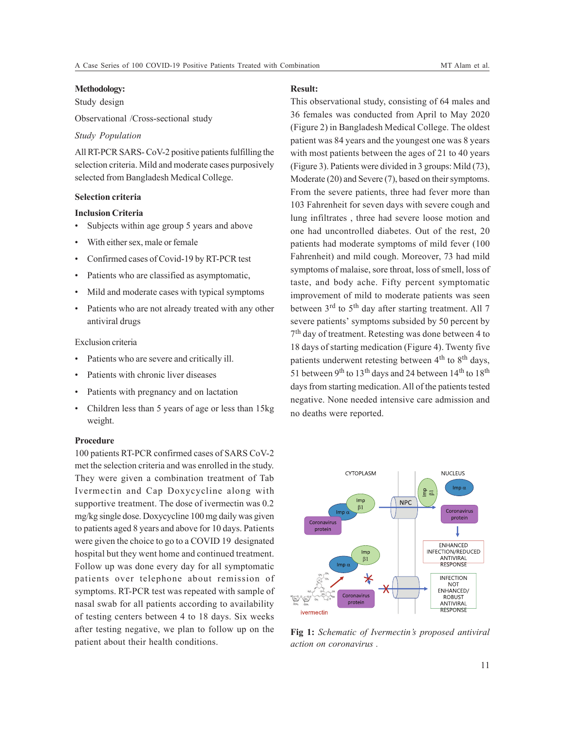#### **Methodology:**

Study design

Observational /Cross-sectional study

## *Study Population*

All RT-PCR SARS- CoV-2 positive patients fulfilling the selection criteria. Mild and moderate cases purposively selected from Bangladesh Medical College.

## **Selection criteria**

# **Inclusion Criteria**

- Subjects within age group 5 years and above
- With either sex, male or female
- Confirmed cases of Covid-19 by RT-PCR test
- Patients who are classified as asymptomatic,
- Mild and moderate cases with typical symptoms
- Patients who are not already treated with any other antiviral drugs

#### Exclusion criteria

- Patients who are severe and critically ill.
- Patients with chronic liver diseases
- Patients with pregnancy and on lactation
- Children less than 5 years of age or less than 15kg weight.

## **Procedure**

100 patients RT-PCR confirmed cases of SARS CoV-2 met the selection criteria and was enrolled in the study. They were given a combination treatment of Tab Ivermectin and Cap Doxycycline along with supportive treatment. The dose of ivermectin was 0.2 mg/kg single dose. Doxycycline 100 mg daily was given to patients aged 8 years and above for 10 days. Patients were given the choice to go to a COVID 19 designated hospital but they went home and continued treatment. Follow up was done every day for all symptomatic patients over telephone about remission of symptoms. RT-PCR test was repeated with sample of nasal swab for all patients according to availability of testing centers between 4 to 18 days. Six weeks after testing negative, we plan to follow up on the patient about their health conditions.

# **Result:**

This observational study, consisting of 64 males and 36 females was conducted from April to May 2020 (Figure 2) in Bangladesh Medical College. The oldest patient was 84 years and the youngest one was 8 years with most patients between the ages of 21 to 40 years (Figure 3). Patients were divided in 3 groups: Mild (73), Moderate (20) and Severe (7), based on their symptoms. From the severe patients, three had fever more than 103 Fahrenheit for seven days with severe cough and lung infiltrates , three had severe loose motion and one had uncontrolled diabetes. Out of the rest, 20 patients had moderate symptoms of mild fever (100 Fahrenheit) and mild cough. Moreover, 73 had mild symptoms of malaise, sore throat, loss of smell, loss of taste, and body ache. Fifty percent symptomatic improvement of mild to moderate patients was seen between 3<sup>rd</sup> to 5<sup>th</sup> day after starting treatment. All 7 severe patients' symptoms subsided by 50 percent by 7 th day of treatment. Retesting was done between 4 to 18 days of starting medication (Figure 4). Twenty five patients underwent retesting between 4<sup>th</sup> to 8<sup>th</sup> days, 51 between 9<sup>th</sup> to 13<sup>th</sup> days and 24 between  $14<sup>th</sup>$  to  $18<sup>th</sup>$ days from starting medication. All of the patients tested negative. None needed intensive care admission and no deaths were reported.



**Fig 1:** *Schematic of Ivermectin's proposed antiviral action on coronavirus .*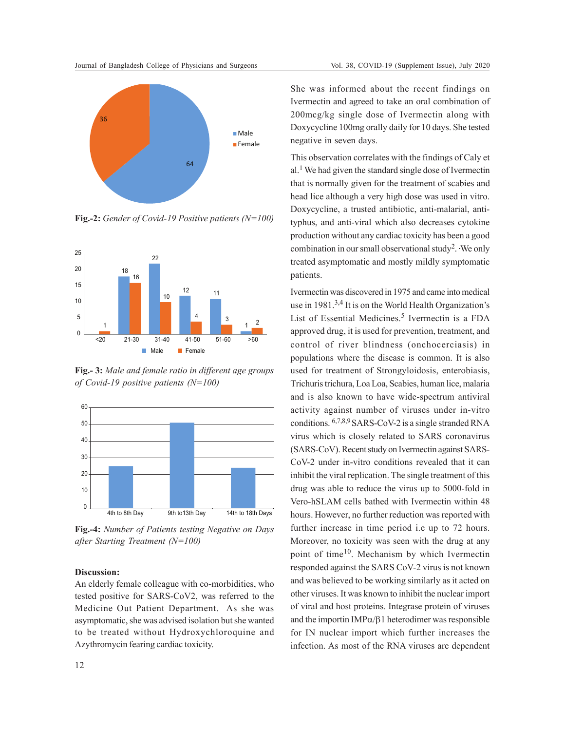

**Fig.-2:** *Gender of Covid-19 Positive patients (N=100)*



**Fig.- 3:** *Male and female ratio in different age groups of Covid-19 positive patients (N=100)*



**Fig.-4:** *Number of Patients testing Negative on Days after Starting Treatment (N=100)*

## **Discussion:**

An elderly female colleague with co-morbidities, who tested positive for SARS-CoV2, was referred to the Medicine Out Patient Department. As she was asymptomatic, she was advised isolation but she wanted to be treated without Hydroxychloroquine and Azythromycin fearing cardiac toxicity.

She was informed about the recent findings on Ivermectin and agreed to take an oral combination of 200mcg/kg single dose of Ivermectin along with Doxycycline 100mg orally daily for 10 days. She tested negative in seven days.

This observation correlates with the findings of Caly et al.<sup>1</sup> We had given the standard single dose of Ivermectin that is normally given for the treatment of scabies and head lice although a very high dose was used in vitro. Doxycycline, a trusted antibiotic, anti-malarial, antityphus, and anti-viral which also decreases cytokine production without any cardiac toxicity has been a good combination in our small observational study<sup>2</sup> . We only treated asymptomatic and mostly mildly symptomatic patients.

Ivermectin was discovered in 1975 and came into medical use in 1981.3,4 It is on the World Health Organization's List of Essential Medicines.<sup>5</sup> Ivermectin is a FDA approved drug, it is used for prevention, treatment, and control of river blindness (onchocerciasis) in populations where the disease is common. It is also used for treatment of Strongyloidosis, enterobiasis, Trichuris trichura, Loa Loa, Scabies, human lice, malaria and is also known to have wide-spectrum antiviral activity against number of viruses under in-vitro conditions. 6,7,8,9 SARS-CoV-2 is a single stranded RNA virus which is closely related to SARS coronavirus (SARS-CoV). Recent study on Ivermectin against SARS-CoV-2 under in-vitro conditions revealed that it can inhibit the viral replication. The single treatment of this drug was able to reduce the virus up to 5000-fold in Vero-hSLAM cells bathed with Ivermectin within 48 hours. However, no further reduction was reported with further increase in time period i.e up to 72 hours. Moreover, no toxicity was seen with the drug at any point of time10. Mechanism by which Ivermectin responded against the SARS CoV-2 virus is not known and was believed to be working similarly as it acted on other viruses. It was known to inhibit the nuclear import of viral and host proteins. Integrase protein of viruses and the importin  $IMP\alpha/\beta$ 1 heterodimer was responsible for IN nuclear import which further increases the infection. As most of the RNA viruses are dependent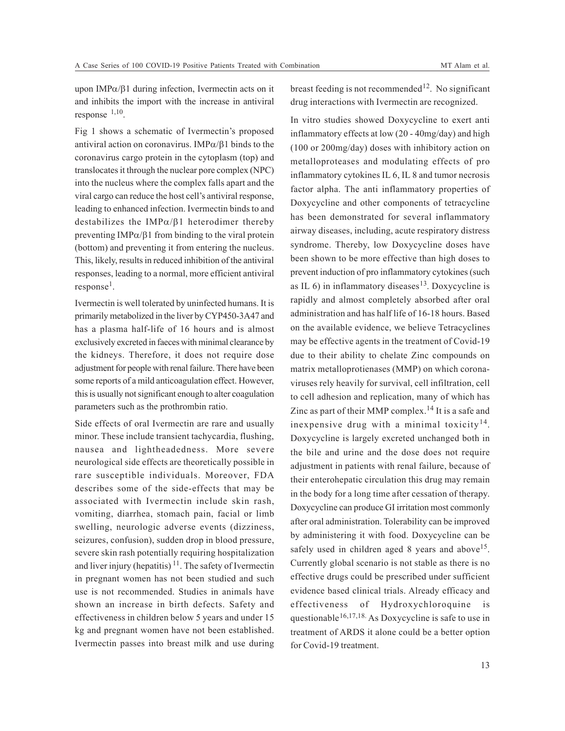upon IMPα/β1 during infection, Ivermectin acts on it and inhibits the import with the increase in antiviral response 1,10 .

Fig 1 shows a schematic of Ivermectin's proposed antiviral action on coronavirus. IMPα/β1 binds to the coronavirus cargo protein in the cytoplasm (top) and translocates it through the nuclear pore complex (NPC) into the nucleus where the complex falls apart and the viral cargo can reduce the host cell's antiviral response, leading to enhanced infection. Ivermectin binds to and destabilizes the IMPα/β1 heterodimer thereby preventing IMP $\alpha/\beta$ 1 from binding to the viral protein (bottom) and preventing it from entering the nucleus. This, likely, results in reduced inhibition of the antiviral responses, leading to a normal, more efficient antiviral response<sup>1</sup>.

Ivermectin is well tolerated by uninfected humans. It is primarily metabolized in the liver by CYP450-3A47 and has a plasma half-life of 16 hours and is almost exclusively excreted in faeces with minimal clearance by the kidneys. Therefore, it does not require dose adjustment for people with renal failure. There have been some reports of a mild anticoagulation effect. However, this is usually not significant enough to alter coagulation parameters such as the prothrombin ratio.

Side effects of oral Ivermectin are rare and usually minor. These include transient tachycardia, flushing, nausea and lightheadedness. More severe neurological side effects are theoretically possible in rare susceptible individuals. Moreover, FDA describes some of the side-effects that may be associated with Ivermectin include skin rash, vomiting, diarrhea, stomach pain, facial or limb swelling, neurologic adverse events (dizziness, seizures, confusion), sudden drop in blood pressure, severe skin rash potentially requiring hospitalization and liver injury (hepatitis)  $11$ . The safety of Ivermectin in pregnant women has not been studied and such use is not recommended. Studies in animals have shown an increase in birth defects. Safety and effectiveness in children below 5 years and under 15 kg and pregnant women have not been established. Ivermectin passes into breast milk and use during breast feeding is not recommended<sup>12</sup>. No significant drug interactions with Ivermectin are recognized.

In vitro studies showed Doxycycline to exert anti inflammatory effects at low (20 - 40mg/day) and high (100 or 200mg/day) doses with inhibitory action on metalloproteases and modulating effects of pro inflammatory cytokines IL 6, IL 8 and tumor necrosis factor alpha. The anti inflammatory properties of Doxycycline and other components of tetracycline has been demonstrated for several inflammatory airway diseases, including, acute respiratory distress syndrome. Thereby, low Doxycycline doses have been shown to be more effective than high doses to prevent induction of pro inflammatory cytokines (such as IL 6) in inflammatory diseases<sup>13</sup>. Doxycycline is rapidly and almost completely absorbed after oral administration and has half life of 16-18 hours. Based on the available evidence, we believe Tetracyclines may be effective agents in the treatment of Covid-19 due to their ability to chelate Zinc compounds on matrix metalloprotienases (MMP) on which coronaviruses rely heavily for survival, cell infiltration, cell to cell adhesion and replication, many of which has Zinc as part of their MMP complex.<sup>14</sup> It is a safe and inexpensive drug with a minimal toxicity<sup>14</sup>. Doxycycline is largely excreted unchanged both in the bile and urine and the dose does not require adjustment in patients with renal failure, because of their enterohepatic circulation this drug may remain in the body for a long time after cessation of therapy. Doxycycline can produce GI irritation most commonly after oral administration. Tolerability can be improved by administering it with food. Doxycycline can be safely used in children aged 8 years and above<sup>15</sup>. Currently global scenario is not stable as there is no effective drugs could be prescribed under sufficient evidence based clinical trials. Already efficacy and effectiveness of Hydroxychloroquine is questionable<sup>16,17,18</sup>. As Doxycycline is safe to use in treatment of ARDS it alone could be a better option for Covid-19 treatment.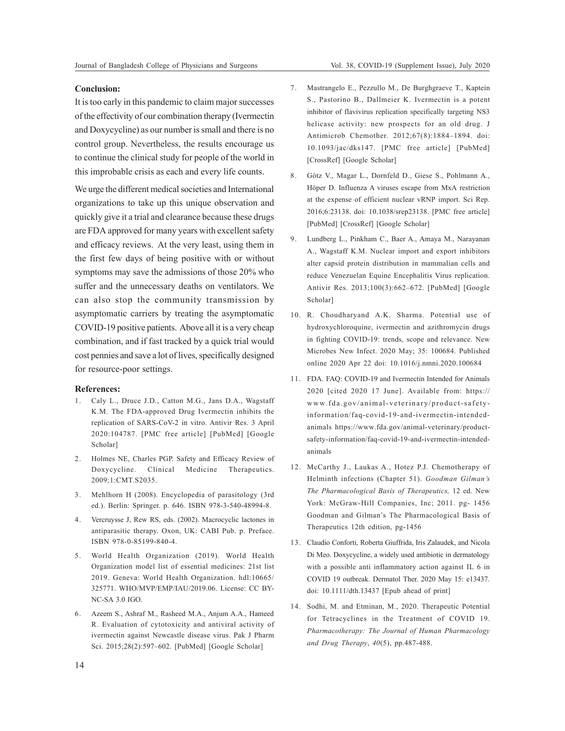# **Conclusion:**

It is too early in this pandemic to claim major successes of the effectivity of our combination therapy (Ivermectin and Doxycycline) as our number is small and there is no control group. Nevertheless, the results encourage us to continue the clinical study for people of the world in this improbable crisis as each and every life counts.

We urge the different medical societies and International organizations to take up this unique observation and quickly give it a trial and clearance because these drugs are FDA approved for many years with excellent safety and efficacy reviews. At the very least, using them in the first few days of being positive with or without symptoms may save the admissions of those 20% who suffer and the unnecessary deaths on ventilators. We can also stop the community transmission by asymptomatic carriers by treating the asymptomatic COVID-19 positive patients. Above all it is a very cheap combination, and if fast tracked by a quick trial would cost pennies and save a lot of lives, specifically designed for resource-poor settings.

#### **References:**

- 1. Caly L., Druce J.D., Catton M.G., Jans D.A., Wagstaff K.M. The FDA-approved Drug Ivermectin inhibits the replication of SARS-CoV-2 in vitro. Antivir Res. 3 April 2020:104787. [PMC free article] [PubMed] [Google Scholar]
- 2. Holmes NE, Charles PGP. Safety and Efficacy Review of Doxycycline. Clinical Medicine Therapeutics. 2009;1:CMT.S2035.
- 3. Mehlhorn H (2008). Encyclopedia of parasitology (3rd ed.). Berlin: Springer. p. 646. ISBN 978-3-540-48994-8.
- 4. Vercruysse J, Rew RS, eds. (2002). Macrocyclic lactones in antiparasitic therapy. Oxon, UK: CABI Pub. p. Preface. ISBN 978-0-85199-840-4.
- 5. World Health Organization (2019). World Health Organization model list of essential medicines: 21st list 2019. Geneva: World Health Organization. hdl:10665/ 325771. WHO/MVP/EMP/IAU/2019.06. License: CC BY-NC-SA 3.0 IGO.
- 6. Azeem S., Ashraf M., Rasheed M.A., Anjum A.A., Hameed R. Evaluation of cytotoxicity and antiviral activity of ivermectin against Newcastle disease virus. Pak J Pharm Sci. 2015;28(2):597–602. [PubMed] [Google Scholar]
- 7. Mastrangelo E., Pezzullo M., De Burghgraeve T., Kaptein S., Pastorino B., Dallmeier K. Ivermectin is a potent inhibitor of flavivirus replication specifically targeting NS3 helicase activity: new prospects for an old drug. J Antimicrob Chemother. 2012;67(8):1884–1894. doi: 10.1093/jac/dks147. [PMC free article] [PubMed] [CrossRef] [Google Scholar]
- 8. Götz V., Magar L., Dornfeld D., Giese S., Pohlmann A., Höper D. Influenza A viruses escape from MxA restriction at the expense of efficient nuclear vRNP import. Sci Rep. 2016;6:23138. doi: 10.1038/srep23138. [PMC free article] [PubMed] [CrossRef] [Google Scholar]
- 9. Lundberg L., Pinkham C., Baer A., Amaya M., Narayanan A., Wagstaff K.M. Nuclear import and export inhibitors alter capsid protein distribution in mammalian cells and reduce Venezuelan Equine Encephalitis Virus replication. Antivir Res. 2013;100(3):662–672. [PubMed] [Google Scholar]
- 10. R. Choudharyand A.K. Sharma. Potential use of hydroxychloroquine, ivermectin and azithromycin drugs in fighting COVID-19: trends, scope and relevance. New Microbes New Infect. 2020 May; 35: 100684. Published online 2020 Apr 22 doi: 10.1016/j.nmni.2020.100684
- 11. FDA. FAQ: COVID-19 and Ivermectin Intended for Animals 2020 [cited 2020 17 June]. Available from: https:// www.fda.gov/animal-veterinary/product-safetyinformation/faq-covid-19-and-ivermectin-intendedanimals https://www.fda.gov/animal-veterinary/productsafety-information/faq-covid-19-and-ivermectin-intendedanimals
- 12. McCarthy J., Laukas A., Hotez P.J. Chemotherapy of Helminth infections (Chapter 51). *Goodman Gilman's The Pharmacological Basis of Therapeutics,* 12 ed. New York: McGraw-Hill Companies, Inc; 2011. pg- 1456 Goodman and Gilman's The Pharmacological Basis of Therapeutics 12th edition, pg-1456
- 13. Claudio Conforti, Roberta Giuffrida, Iris Zalaudek, and Nicola Di Meo. Doxycycline, a widely used antibiotic in dermatology with a possible anti inflammatory action against IL 6 in COVID 19 outbreak. Dermatol Ther. 2020 May 15: e13437. doi: 10.1111/dth.13437 [Epub ahead of print]
- 14. Sodhi, M. and Etminan, M., 2020. Therapeutic Potential for Tetracyclines in the Treatment of COVID 19. *Pharmacotherapy: The Journal of Human Pharmacology and Drug Therapy*, *40*(5), pp.487-488.